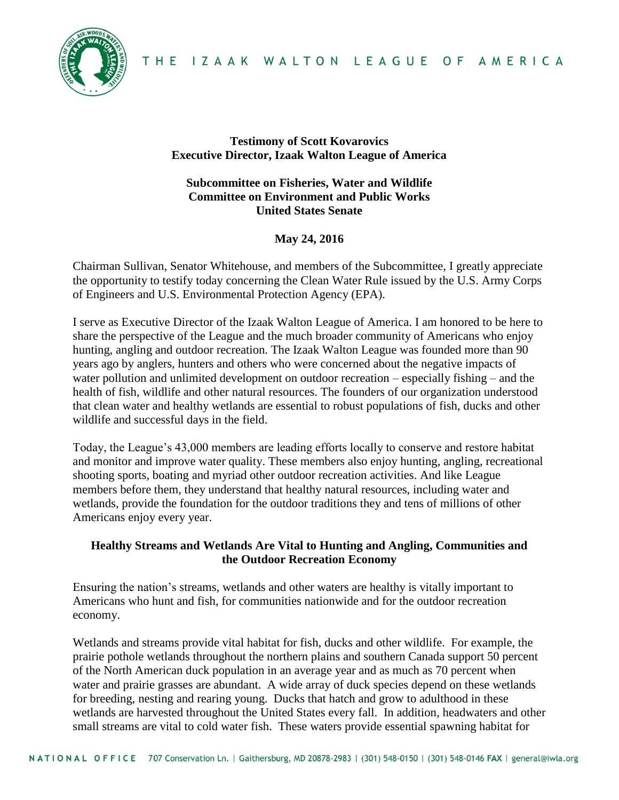



### **Testimony of Scott Kovarovics Executive Director, Izaak Walton League of America**

# **Subcommittee on Fisheries, Water and Wildlife Committee on Environment and Public Works United States Senate**

# **May 24, 2016**

Chairman Sullivan, Senator Whitehouse, and members of the Subcommittee, I greatly appreciate the opportunity to testify today concerning the Clean Water Rule issued by the U.S. Army Corps of Engineers and U.S. Environmental Protection Agency (EPA).

I serve as Executive Director of the Izaak Walton League of America. I am honored to be here to share the perspective of the League and the much broader community of Americans who enjoy hunting, angling and outdoor recreation. The Izaak Walton League was founded more than 90 years ago by anglers, hunters and others who were concerned about the negative impacts of water pollution and unlimited development on outdoor recreation – especially fishing – and the health of fish, wildlife and other natural resources. The founders of our organization understood that clean water and healthy wetlands are essential to robust populations of fish, ducks and other wildlife and successful days in the field.

Today, the League's 43,000 members are leading efforts locally to conserve and restore habitat and monitor and improve water quality. These members also enjoy hunting, angling, recreational shooting sports, boating and myriad other outdoor recreation activities. And like League members before them, they understand that healthy natural resources, including water and wetlands, provide the foundation for the outdoor traditions they and tens of millions of other Americans enjoy every year.

# **Healthy Streams and Wetlands Are Vital to Hunting and Angling, Communities and the Outdoor Recreation Economy**

Ensuring the nation's streams, wetlands and other waters are healthy is vitally important to Americans who hunt and fish, for communities nationwide and for the outdoor recreation economy.

Wetlands and streams provide vital habitat for fish, ducks and other wildlife. For example, the prairie pothole wetlands throughout the northern plains and southern Canada support 50 percent of the North American duck population in an average year and as much as 70 percent when water and prairie grasses are abundant. A wide array of duck species depend on these wetlands for breeding, nesting and rearing young. Ducks that hatch and grow to adulthood in these wetlands are harvested throughout the United States every fall. In addition, headwaters and other small streams are vital to cold water fish. These waters provide essential spawning habitat for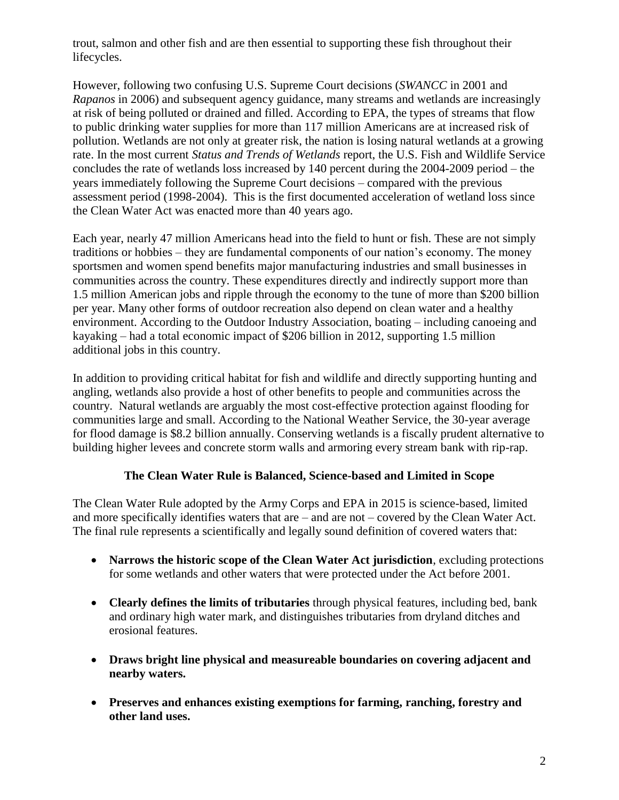trout, salmon and other fish and are then essential to supporting these fish throughout their lifecycles.

However, following two confusing U.S. Supreme Court decisions (*SWANCC* in 2001 and *Rapanos* in 2006) and subsequent agency guidance, many streams and wetlands are increasingly at risk of being polluted or drained and filled. According to EPA, the types of streams that flow to public drinking water supplies for more than 117 million Americans are at increased risk of pollution. Wetlands are not only at greater risk, the nation is losing natural wetlands at a growing rate. In the most current *Status and Trends of Wetlands* report, the U.S. Fish and Wildlife Service concludes the rate of wetlands loss increased by 140 percent during the 2004-2009 period – the years immediately following the Supreme Court decisions – compared with the previous assessment period (1998-2004). This is the first documented acceleration of wetland loss since the Clean Water Act was enacted more than 40 years ago.

Each year, nearly 47 million Americans head into the field to hunt or fish. These are not simply traditions or hobbies – they are fundamental components of our nation's economy. The money sportsmen and women spend benefits major manufacturing industries and small businesses in communities across the country. These expenditures directly and indirectly support more than 1.5 million American jobs and ripple through the economy to the tune of more than \$200 billion per year. Many other forms of outdoor recreation also depend on clean water and a healthy environment. According to the Outdoor Industry Association, boating – including canoeing and kayaking – had a total economic impact of \$206 billion in 2012, supporting 1.5 million additional jobs in this country.

In addition to providing critical habitat for fish and wildlife and directly supporting hunting and angling, wetlands also provide a host of other benefits to people and communities across the country. Natural wetlands are arguably the most cost-effective protection against flooding for communities large and small. According to the National Weather Service, the 30-year average for flood damage is \$8.2 billion annually. Conserving wetlands is a fiscally prudent alternative to building higher levees and concrete storm walls and armoring every stream bank with rip-rap.

# **The Clean Water Rule is Balanced, Science-based and Limited in Scope**

The Clean Water Rule adopted by the Army Corps and EPA in 2015 is science-based, limited and more specifically identifies waters that are – and are not – covered by the Clean Water Act. The final rule represents a scientifically and legally sound definition of covered waters that:

- **Narrows the historic scope of the Clean Water Act jurisdiction**, excluding protections for some wetlands and other waters that were protected under the Act before 2001.
- **Clearly defines the limits of tributaries** through physical features, including bed, bank and ordinary high water mark, and distinguishes tributaries from dryland ditches and erosional features.
- **Draws bright line physical and measureable boundaries on covering adjacent and nearby waters.**
- **Preserves and enhances existing exemptions for farming, ranching, forestry and other land uses.**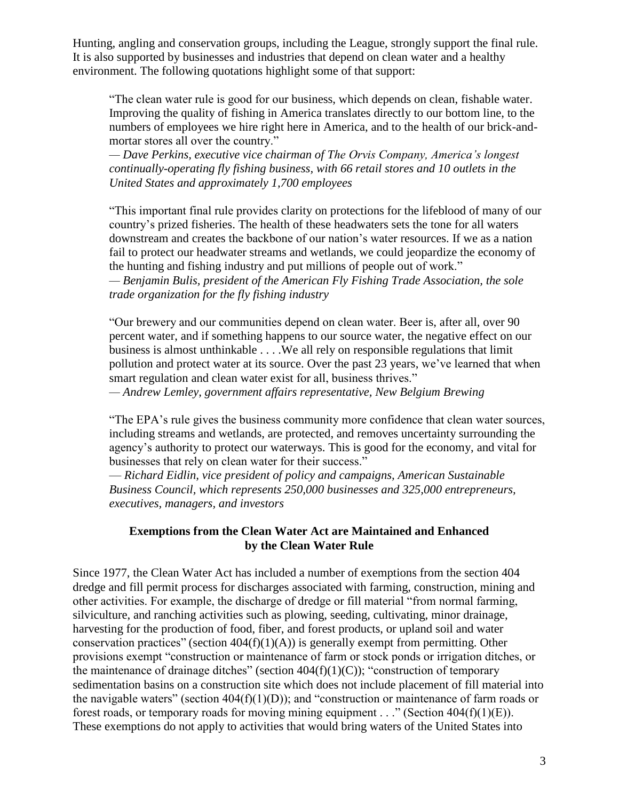Hunting, angling and conservation groups, including the League, strongly support the final rule. It is also supported by businesses and industries that depend on clean water and a healthy environment. The following quotations highlight some of that support:

"The clean water rule is good for our business, which depends on clean, fishable water. Improving the quality of fishing in America translates directly to our bottom line, to the numbers of employees we hire right here in America, and to the health of our brick-andmortar stores all over the country."

*— Dave Perkins, executive vice chairman of The Orvis Company, America's longest continually-operating fly fishing business, with 66 retail stores and 10 outlets in the United States and approximately 1,700 employees*

"This important final rule provides clarity on protections for the lifeblood of many of our country's prized fisheries. The health of these headwaters sets the tone for all waters downstream and creates the backbone of our nation's water resources. If we as a nation fail to protect our headwater streams and wetlands, we could jeopardize the economy of the hunting and fishing industry and put millions of people out of work." *— Benjamin Bulis, president of the American Fly Fishing Trade Association, the sole trade organization for the fly fishing industry*

"Our brewery and our communities depend on clean water. Beer is, after all, over 90 percent water, and if something happens to our source water, the negative effect on our business is almost unthinkable . . . .We all rely on responsible regulations that limit pollution and protect water at its source. Over the past 23 years, we've learned that when smart regulation and clean water exist for all, business thrives."

*— Andrew Lemley, government affairs representative, New Belgium Brewing* 

"The EPA's rule gives the business community more confidence that clean water sources, including streams and wetlands, are protected, and removes uncertainty surrounding the agency's authority to protect our waterways. This is good for the economy, and vital for businesses that rely on clean water for their success."

— *Richard Eidlin, vice president of policy and campaigns, American Sustainable Business Council, which represents 250,000 businesses and 325,000 entrepreneurs, executives, managers, and investors*

#### **Exemptions from the Clean Water Act are Maintained and Enhanced by the Clean Water Rule**

Since 1977, the Clean Water Act has included a number of exemptions from the section 404 dredge and fill permit process for discharges associated with farming, construction, mining and other activities. For example, the discharge of dredge or fill material "from normal farming, silviculture, and ranching activities such as plowing, seeding, cultivating, minor drainage, harvesting for the production of food, fiber, and forest products, or upland soil and water conservation practices" (section  $404(f)(1)(A)$ ) is generally exempt from permitting. Other provisions exempt "construction or maintenance of farm or stock ponds or irrigation ditches, or the maintenance of drainage ditches" (section  $404(f)(1)(C)$ ); "construction of temporary sedimentation basins on a construction site which does not include placement of fill material into the navigable waters" (section  $404(f)(1)(D)$ ); and "construction or maintenance of farm roads or forest roads, or temporary roads for moving mining equipment . . ." (Section  $404(f)(1)(E)$ ). These exemptions do not apply to activities that would bring waters of the United States into